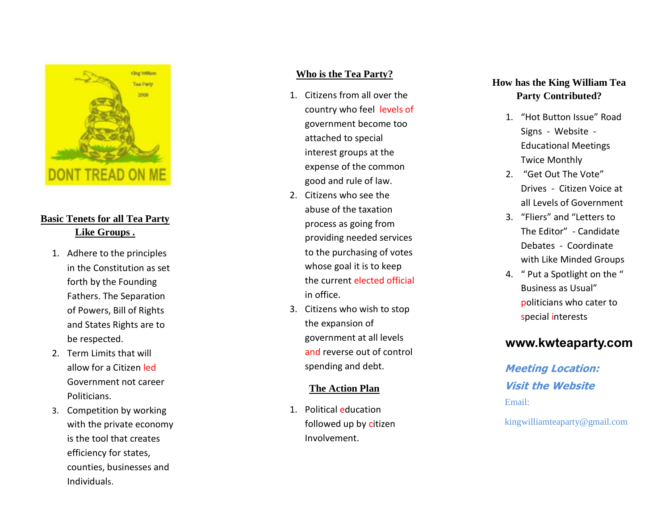

# **Basic Tenets for all Tea Party Like Groups .**

- 1. Adhere to the principles in the Constitution as set forth by the Founding Fathers. The Separation of Powers, Bill of Rights and States Rights are to be respected.
- 2. Term Limits that will allow for a Citizen led Government not career Politicians.
- 3. Competition by working with the private economy is the tool that creates efficiency for states, counties, businesses and Individuals.

#### **Who is the Tea Party?**

- 1. Citizens from all over the country who feel levels of government become too attached to special interest groups at the expense of the common good and rule of law.
- 2. Citizens who see the abuse of the taxation process as going from providing needed services to the purchasing of votes whose goal it is to keep the current elected official in office.
- 3. Citizens who wish to stop the expansion of government at all levels and reverse out of control<br>spending and debt.

#### **The Action Plan**

1. Political education followed up by citizen Involvement.

### **How has the King William Tea Party Contributed?**

- 1. "Hot Button Issue" Road Signs - Website - Educational Meetings Twice Monthly
- 2. "Get Out The Vote" Drives - Citizen Voice at all Levels of Government
- 3. "Fliers" and "Letters to The Editor" - Candidate Debates - Coordinate with Like Minded Groups
- 4. " Put a Spotlight on the " Business as Usual" politicians who cater to<br>special interests

# **www.kwteaparty.com**

**Meeting Location: Visit the Website** Email:

kingwilliamteaparty@gmail.com